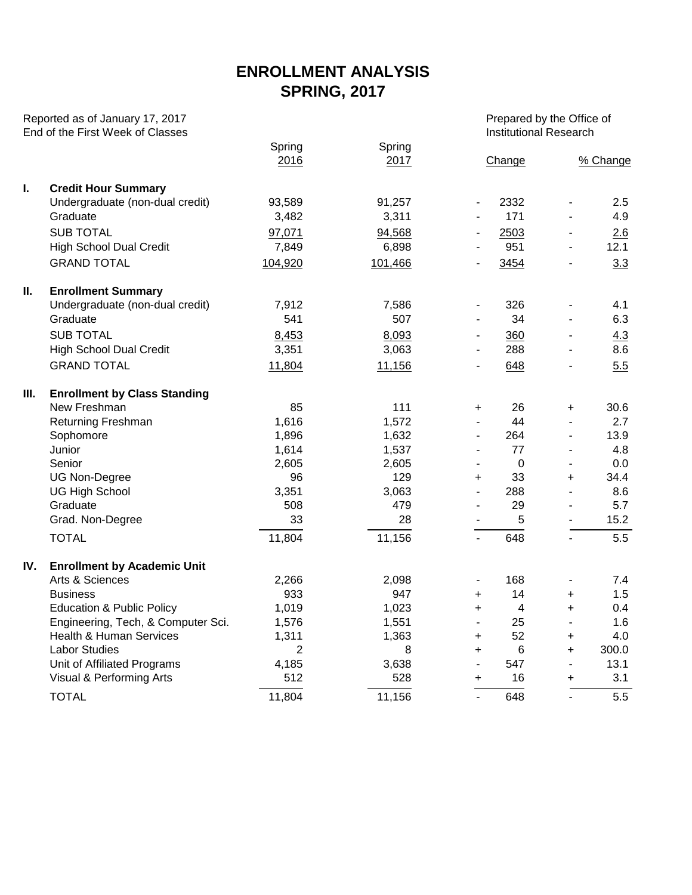## **ENROLLMENT ANALYSIS SPRING, 2017**

| Reported as of January 17, 2017<br>End of the First Week of Classes |                                      |                |                |                          | Prepared by the Office of<br><b>Institutional Research</b> |                              |          |  |  |  |
|---------------------------------------------------------------------|--------------------------------------|----------------|----------------|--------------------------|------------------------------------------------------------|------------------------------|----------|--|--|--|
|                                                                     |                                      | Spring<br>2016 | Spring<br>2017 |                          | Change                                                     |                              | % Change |  |  |  |
| L.                                                                  | <b>Credit Hour Summary</b>           |                |                |                          |                                                            |                              |          |  |  |  |
|                                                                     | Undergraduate (non-dual credit)      | 93,589         | 91,257         | $\overline{\phantom{m}}$ | 2332                                                       | $\qquad \qquad \blacksquare$ | 2.5      |  |  |  |
|                                                                     | Graduate                             | 3,482          | 3,311          | $\overline{\phantom{m}}$ | 171                                                        |                              | 4.9      |  |  |  |
|                                                                     | <b>SUB TOTAL</b>                     | 97,071         | 94,568         |                          | 2503                                                       | $\overline{\phantom{a}}$     | 2.6      |  |  |  |
|                                                                     | <b>High School Dual Credit</b>       | 7,849          | 6,898          |                          | 951                                                        | $\blacksquare$               | 12.1     |  |  |  |
|                                                                     | <b>GRAND TOTAL</b>                   | 104,920        | 101,466        |                          | 3454                                                       | $\overline{\phantom{a}}$     | 3.3      |  |  |  |
| Ш.                                                                  | <b>Enrollment Summary</b>            |                |                |                          |                                                            |                              |          |  |  |  |
|                                                                     | Undergraduate (non-dual credit)      | 7,912          | 7,586          | $\overline{\phantom{m}}$ | 326                                                        | $\overline{\phantom{a}}$     | 4.1      |  |  |  |
|                                                                     | Graduate                             | 541            | 507            | $\overline{a}$           | 34                                                         | $\overline{\phantom{a}}$     | 6.3      |  |  |  |
|                                                                     | <b>SUB TOTAL</b>                     | 8,453          | 8,093          | ٠                        | 360                                                        | $\overline{\phantom{a}}$     | 4.3      |  |  |  |
|                                                                     | <b>High School Dual Credit</b>       | 3,351          | 3,063          |                          | 288                                                        | $\overline{a}$               | 8.6      |  |  |  |
|                                                                     | <b>GRAND TOTAL</b>                   | 11,804         | 11,156         |                          | 648                                                        | $\blacksquare$               | 5.5      |  |  |  |
| Ш.                                                                  | <b>Enrollment by Class Standing</b>  |                |                |                          |                                                            |                              |          |  |  |  |
|                                                                     | New Freshman                         | 85             | 111            | $\ddot{}$                | 26                                                         | +                            | 30.6     |  |  |  |
|                                                                     | <b>Returning Freshman</b>            | 1,616          | 1,572          |                          | 44                                                         | $\blacksquare$               | 2.7      |  |  |  |
|                                                                     | Sophomore                            | 1,896          | 1,632          | $\overline{a}$           | 264                                                        | $\blacksquare$               | 13.9     |  |  |  |
|                                                                     | Junior                               | 1,614          | 1,537          | $\overline{a}$           | 77                                                         | $\overline{\phantom{a}}$     | 4.8      |  |  |  |
|                                                                     | Senior                               | 2,605          | 2,605          | $\blacksquare$           | $\mathbf 0$                                                | $\blacksquare$               | 0.0      |  |  |  |
|                                                                     | <b>UG Non-Degree</b>                 | 96             | 129            | $\ddot{}$                | 33                                                         | $\ddot{}$                    | 34.4     |  |  |  |
|                                                                     | <b>UG High School</b>                | 3,351          | 3,063          | $\overline{\phantom{0}}$ | 288                                                        | $\blacksquare$               | 8.6      |  |  |  |
|                                                                     | Graduate                             | 508            | 479            |                          | 29                                                         | $\blacksquare$               | 5.7      |  |  |  |
|                                                                     | Grad. Non-Degree                     | 33             | 28             |                          | 5                                                          | $\blacksquare$               | 15.2     |  |  |  |
|                                                                     | <b>TOTAL</b>                         | 11,804         | 11,156         |                          | 648                                                        |                              | 5.5      |  |  |  |
| IV.                                                                 | <b>Enrollment by Academic Unit</b>   |                |                |                          |                                                            |                              |          |  |  |  |
|                                                                     | Arts & Sciences                      | 2,266          | 2,098          |                          | 168                                                        | $\overline{\phantom{a}}$     | 7.4      |  |  |  |
|                                                                     | <b>Business</b>                      | 933            | 947            | $\ddot{}$                | 14                                                         | $\ddot{}$                    | 1.5      |  |  |  |
|                                                                     | <b>Education &amp; Public Policy</b> | 1,019          | 1,023          | $\ddot{}$                | 4                                                          | $\ddot{}$                    | 0.4      |  |  |  |
|                                                                     | Engineering, Tech, & Computer Sci.   | 1,576          | 1,551          | $\overline{\phantom{m}}$ | 25                                                         | $\overline{\phantom{a}}$     | 1.6      |  |  |  |
|                                                                     | <b>Health &amp; Human Services</b>   | 1,311          | 1,363          | +                        | 52                                                         | +                            | 4.0      |  |  |  |
|                                                                     | <b>Labor Studies</b>                 | $\overline{2}$ | 8              | +                        | $\,6$                                                      | $\ddot{}$                    | 300.0    |  |  |  |
|                                                                     | Unit of Affiliated Programs          | 4,185          | 3,638          | $\blacksquare$           | 547                                                        | $\overline{\phantom{a}}$     | 13.1     |  |  |  |
|                                                                     | Visual & Performing Arts             | 512            | 528            | $\ddot{}$                | 16                                                         | $\ddot{}$                    | 3.1      |  |  |  |
|                                                                     | <b>TOTAL</b>                         | 11,804         | 11,156         | $\mathbf{r}$             | 648                                                        |                              | 5.5      |  |  |  |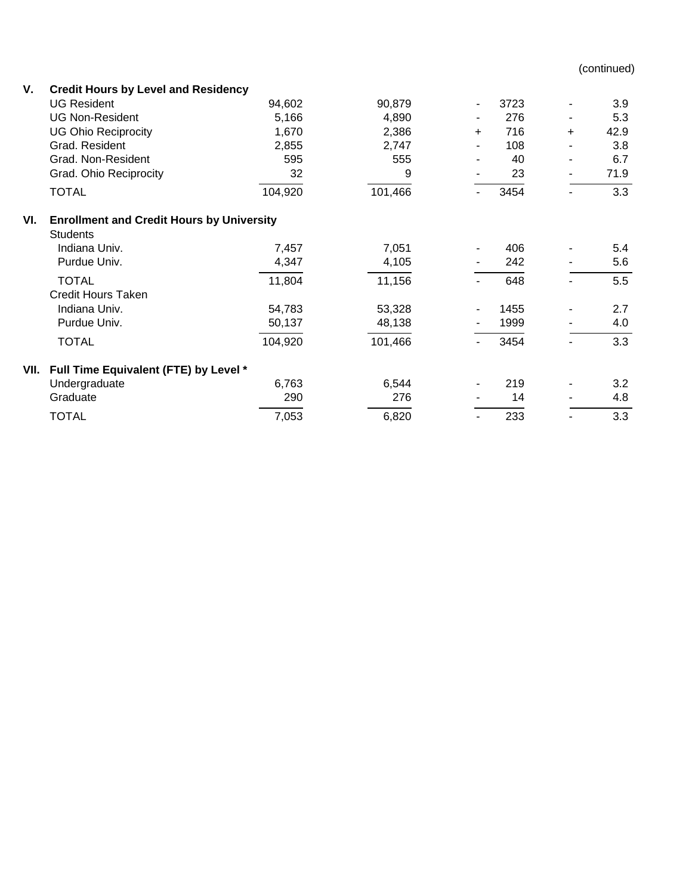(continued)

| ۷.   | <b>Credit Hours by Level and Residency</b>       |         |         |           |      |           |      |  |  |  |  |  |  |
|------|--------------------------------------------------|---------|---------|-----------|------|-----------|------|--|--|--|--|--|--|
|      | <b>UG Resident</b>                               | 94,602  | 90,879  | ۰         | 3723 |           | 3.9  |  |  |  |  |  |  |
|      | <b>UG Non-Resident</b>                           | 5,166   | 4,890   |           | 276  |           | 5.3  |  |  |  |  |  |  |
|      | <b>UG Ohio Reciprocity</b>                       | 1,670   | 2,386   | $\ddot{}$ | 716  | $\ddot{}$ | 42.9 |  |  |  |  |  |  |
|      | Grad. Resident                                   | 2,855   | 2,747   |           | 108  |           | 3.8  |  |  |  |  |  |  |
|      | Grad. Non-Resident                               | 595     | 555     |           | 40   |           | 6.7  |  |  |  |  |  |  |
|      | Grad. Ohio Reciprocity                           | 32      | 9       |           | 23   |           | 71.9 |  |  |  |  |  |  |
|      | <b>TOTAL</b>                                     | 104,920 | 101,466 |           | 3454 |           | 3.3  |  |  |  |  |  |  |
| VI.  | <b>Enrollment and Credit Hours by University</b> |         |         |           |      |           |      |  |  |  |  |  |  |
|      | <b>Students</b>                                  |         |         |           |      |           |      |  |  |  |  |  |  |
|      | Indiana Univ.                                    | 7,457   | 7,051   |           | 406  |           | 5.4  |  |  |  |  |  |  |
|      | Purdue Univ.                                     | 4,347   | 4,105   |           | 242  |           | 5.6  |  |  |  |  |  |  |
|      | <b>TOTAL</b>                                     | 11,804  | 11,156  |           | 648  |           | 5.5  |  |  |  |  |  |  |
|      | <b>Credit Hours Taken</b>                        |         |         |           |      |           |      |  |  |  |  |  |  |
|      | Indiana Univ.                                    | 54,783  | 53,328  |           | 1455 |           | 2.7  |  |  |  |  |  |  |
|      | Purdue Univ.                                     | 50,137  | 48,138  |           | 1999 |           | 4.0  |  |  |  |  |  |  |
|      | <b>TOTAL</b>                                     | 104,920 | 101,466 |           | 3454 |           | 3.3  |  |  |  |  |  |  |
| VII. | Full Time Equivalent (FTE) by Level *            |         |         |           |      |           |      |  |  |  |  |  |  |
|      | Undergraduate                                    | 6,763   | 6,544   | ۰.        | 219  |           | 3.2  |  |  |  |  |  |  |
|      | Graduate                                         | 290     | 276     |           | 14   |           | 4.8  |  |  |  |  |  |  |
|      | <b>TOTAL</b>                                     | 7,053   | 6,820   |           | 233  |           | 3.3  |  |  |  |  |  |  |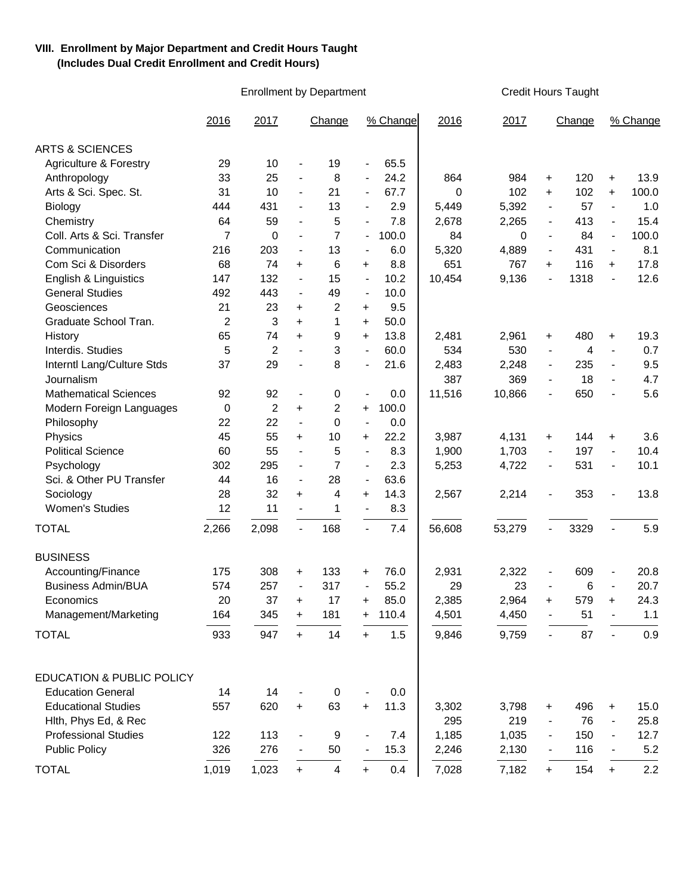## **VIII. Enrollment by Major Department and Credit Hours Taught (Includes Dual Credit Enrollment and Credit Hours)**

Enrollment by Department Credit Hours Taught

|                                      | 2016           | 2017           |                          | Change                  |                          | % Change | 2016     | 2017   |                          | Change |                          | % Change |
|--------------------------------------|----------------|----------------|--------------------------|-------------------------|--------------------------|----------|----------|--------|--------------------------|--------|--------------------------|----------|
| <b>ARTS &amp; SCIENCES</b>           |                |                |                          |                         |                          |          |          |        |                          |        |                          |          |
| <b>Agriculture &amp; Forestry</b>    | 29             | 10             | $\overline{\phantom{m}}$ | 19                      | $\overline{\phantom{a}}$ | 65.5     |          |        |                          |        |                          |          |
| Anthropology                         | 33             | 25             | $\overline{\phantom{a}}$ | 8                       |                          | 24.2     | 864      | 984    | $\ddot{}$                | 120    | $\ddot{}$                | 13.9     |
| Arts & Sci. Spec. St.                | 31             | 10             | $\overline{\phantom{a}}$ | 21                      | $\overline{\phantom{a}}$ | 67.7     | $\Omega$ | 102    | $\ddot{}$                | 102    | $\ddot{}$                | 100.0    |
| Biology                              | 444            | 431            | $\blacksquare$           | 13                      | $\blacksquare$           | 2.9      | 5,449    | 5,392  | $\overline{\phantom{a}}$ | 57     | $\blacksquare$           | 1.0      |
| Chemistry                            | 64             | 59             | $\overline{\phantom{m}}$ | 5                       |                          | 7.8      | 2,678    | 2,265  | $\blacksquare$           | 413    | $\overline{\phantom{a}}$ | 15.4     |
| Coll. Arts & Sci. Transfer           | $\overline{7}$ | 0              | $\overline{\phantom{a}}$ | 7                       | $\blacksquare$           | 100.0    | 84       | 0      | $\blacksquare$           | 84     | $\overline{\phantom{a}}$ | 100.0    |
| Communication                        | 216            | 203            | $\blacksquare$           | 13                      | $\overline{\phantom{a}}$ | 6.0      | 5,320    | 4,889  | $\blacksquare$           | 431    | $\blacksquare$           | 8.1      |
| Com Sci & Disorders                  | 68             | 74             | $\ddot{}$                | 6                       | $\ddot{}$                | 8.8      | 651      | 767    | $\ddot{}$                | 116    | $\ddot{}$                | 17.8     |
| English & Linguistics                | 147            | 132            | $\overline{\phantom{a}}$ | 15                      | $\blacksquare$           | 10.2     | 10,454   | 9,136  | $\overline{\phantom{a}}$ | 1318   | $\blacksquare$           | 12.6     |
| <b>General Studies</b>               | 492            | 443            | $\overline{\phantom{a}}$ | 49                      | $\overline{\phantom{a}}$ | 10.0     |          |        |                          |        |                          |          |
| Geosciences                          | 21             | 23             | $\ddot{}$                | $\overline{2}$          | $\ddot{}$                | 9.5      |          |        |                          |        |                          |          |
| Graduate School Tran.                | $\overline{2}$ | 3              | $+$                      | 1                       | $\ddot{}$                | 50.0     |          |        |                          |        |                          |          |
| History                              | 65             | 74             | $+$                      | 9                       | $\ddot{}$                | 13.8     | 2,481    | 2,961  | +                        | 480    | +                        | 19.3     |
| Interdis. Studies                    | 5              | 2              | $\overline{a}$           | 3                       |                          | 60.0     | 534      | 530    | $\overline{\phantom{a}}$ | 4      | $\blacksquare$           | 0.7      |
| Interntl Lang/Culture Stds           | 37             | 29             | $\overline{\phantom{a}}$ | 8                       | $\blacksquare$           | 21.6     | 2,483    | 2,248  | $\blacksquare$           | 235    | $\blacksquare$           | 9.5      |
| Journalism                           |                |                |                          |                         |                          |          | 387      | 369    | $\blacksquare$           | 18     | $\blacksquare$           | 4.7      |
| <b>Mathematical Sciences</b>         | 92             | 92             | $\blacksquare$           | 0                       |                          | 0.0      | 11,516   | 10,866 | $\overline{\phantom{a}}$ | 650    | $\blacksquare$           | 5.6      |
| Modern Foreign Languages             | 0              | $\overline{2}$ | $+$                      | $\overline{2}$          | $+$                      | 100.0    |          |        |                          |        |                          |          |
| Philosophy                           | 22             | 22             | $\overline{\phantom{a}}$ | 0                       | $\blacksquare$           | 0.0      |          |        |                          |        |                          |          |
| Physics                              | 45             | 55             | $\ddot{}$                | 10                      | $\ddot{}$                | 22.2     | 3,987    | 4,131  | +                        | 144    | $\ddot{}$                | 3.6      |
| <b>Political Science</b>             | 60             | 55             | $\blacksquare$           | 5                       | $\overline{\phantom{a}}$ | 8.3      | 1,900    | 1,703  | $\blacksquare$           | 197    | $\blacksquare$           | 10.4     |
| Psychology                           | 302            | 295            | $\overline{\phantom{a}}$ | 7                       | $\overline{\phantom{a}}$ | 2.3      | 5,253    | 4,722  | $\blacksquare$           | 531    | $\overline{\phantom{a}}$ | 10.1     |
| Sci. & Other PU Transfer             | 44             | 16             | $\overline{\phantom{a}}$ | 28                      | $\overline{\phantom{a}}$ | 63.6     |          |        |                          |        |                          |          |
| Sociology                            | 28             | 32             | $\ddot{}$                | 4                       | $\ddot{}$                | 14.3     | 2,567    | 2,214  | $\overline{\phantom{a}}$ | 353    |                          | 13.8     |
| <b>Women's Studies</b>               | 12             | 11             | $\blacksquare$           | 1                       | $\blacksquare$           | 8.3      |          |        |                          |        |                          |          |
|                                      |                |                |                          | 168                     | $\blacksquare$           | 7.4      |          |        |                          |        |                          | 5.9      |
| <b>TOTAL</b>                         | 2,266          | 2,098          | $\blacksquare$           |                         |                          |          | 56,608   | 53,279 |                          | 3329   | $\blacksquare$           |          |
| <b>BUSINESS</b>                      |                |                |                          |                         |                          |          |          |        |                          |        |                          |          |
| Accounting/Finance                   | 175            | 308            | $\ddot{}$                | 133                     | $\ddot{}$                | 76.0     | 2,931    | 2,322  | $\overline{\phantom{a}}$ | 609    |                          | 20.8     |
| <b>Business Admin/BUA</b>            | 574            | 257            | $\overline{\phantom{a}}$ | 317                     |                          | 55.2     | 29       | 23     |                          | 6      | $\overline{\phantom{a}}$ | 20.7     |
| Economics                            | 20             | 37             | $+$                      | 17                      | +                        | 85.0     | 2,385    | 2,964  | $\ddot{}$                | 579    | $\ddot{}$                | 24.3     |
| Management/Marketing                 | 164            | 345            | $\ddot{}$                | 181                     | $\ddot{}$                | 110.4    | 4,501    | 4,450  |                          | 51     |                          | 1.1      |
| <b>TOTAL</b>                         | 933            | 947            | $+$                      | 14                      | $+$                      | 1.5      | 9,846    | 9,759  | $\blacksquare$           | 87     | $\blacksquare$           | 0.9      |
|                                      |                |                |                          |                         |                          |          |          |        |                          |        |                          |          |
| <b>EDUCATION &amp; PUBLIC POLICY</b> |                |                |                          |                         |                          |          |          |        |                          |        |                          |          |
| <b>Education General</b>             | 14             | 14             |                          | 0                       |                          | 0.0      |          |        |                          |        |                          |          |
| <b>Educational Studies</b>           | 557            | 620            | $\ddot{}$                | 63                      | $\ddot{}$                | 11.3     | 3,302    | 3,798  | +                        | 496    | +                        | 15.0     |
| Hlth, Phys Ed, & Rec                 |                |                |                          |                         |                          |          | 295      | 219    |                          | 76     | $\overline{\phantom{a}}$ | 25.8     |
| <b>Professional Studies</b>          | 122            | 113            |                          | 9                       |                          | 7.4      | 1,185    | 1,035  |                          | 150    |                          | 12.7     |
| <b>Public Policy</b>                 | 326            | 276            | ٠                        | 50                      |                          | 15.3     | 2,246    | 2,130  | $\blacksquare$           | 116    |                          | 5.2      |
| <b>TOTAL</b>                         | 1,019          | 1,023          | $+$                      | $\overline{\mathbf{4}}$ | $+$                      | 0.4      | 7,028    | 7,182  | $+$                      | 154    | $+$                      | 2.2      |